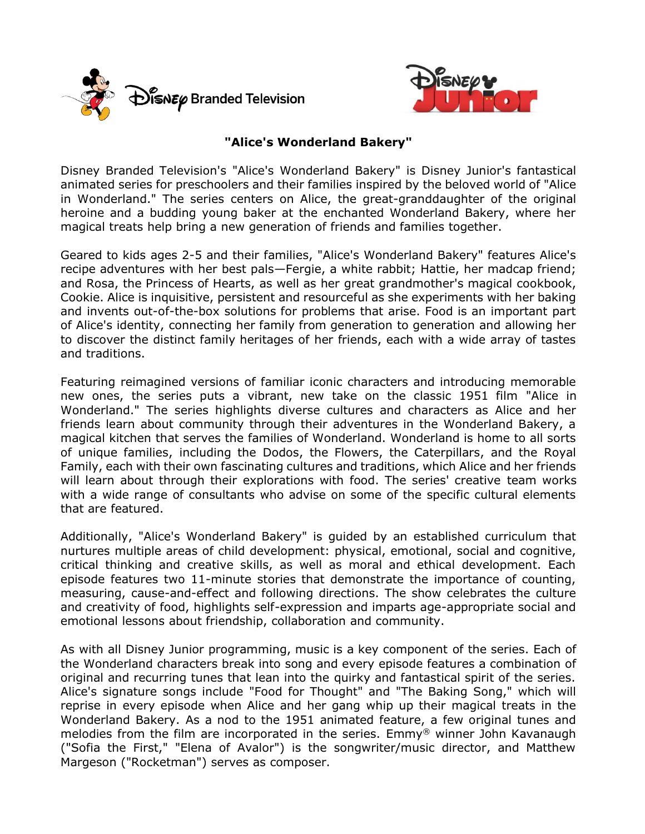



## **"Alice's Wonderland Bakery"**

Disney Branded Television's "Alice's Wonderland Bakery" is Disney Junior's fantastical animated series for preschoolers and their families inspired by the beloved world of "Alice in Wonderland." The series centers on Alice, the great-granddaughter of the original heroine and a budding young baker at the enchanted Wonderland Bakery, where her magical treats help bring a new generation of friends and families together.

Geared to kids ages 2-5 and their families, "Alice's Wonderland Bakery" features Alice's recipe adventures with her best pals—Fergie, a white rabbit; Hattie, her madcap friend; and Rosa, the Princess of Hearts, as well as her great grandmother's magical cookbook, Cookie. Alice is inquisitive, persistent and resourceful as she experiments with her baking and invents out-of-the-box solutions for problems that arise. Food is an important part of Alice's identity, connecting her family from generation to generation and allowing her to discover the distinct family heritages of her friends, each with a wide array of tastes and traditions.

Featuring reimagined versions of familiar iconic characters and introducing memorable new ones, the series puts a vibrant, new take on the classic 1951 film "Alice in Wonderland." The series highlights diverse cultures and characters as Alice and her friends learn about community through their adventures in the Wonderland Bakery, a magical kitchen that serves the families of Wonderland. Wonderland is home to all sorts of unique families, including the Dodos, the Flowers, the Caterpillars, and the Royal Family, each with their own fascinating cultures and traditions, which Alice and her friends will learn about through their explorations with food. The series' creative team works with a wide range of consultants who advise on some of the specific cultural elements that are featured.

Additionally, "Alice's Wonderland Bakery" is guided by an established curriculum that nurtures multiple areas of child development: physical, emotional, social and cognitive, critical thinking and creative skills, as well as moral and ethical development. Each episode features two 11-minute stories that demonstrate the importance of counting, measuring, cause-and-effect and following directions. The show celebrates the culture and creativity of food, highlights self-expression and imparts age-appropriate social and emotional lessons about friendship, collaboration and community.

As with all Disney Junior programming, music is a key component of the series. Each of the Wonderland characters break into song and every episode features a combination of original and recurring tunes that lean into the quirky and fantastical spirit of the series. Alice's signature songs include "Food for Thought" and "The Baking Song," which will reprise in every episode when Alice and her gang whip up their magical treats in the Wonderland Bakery. As a nod to the 1951 animated feature, a few original tunes and melodies from the film are incorporated in the series. Emmy® winner John Kavanaugh ("Sofia the First," "Elena of Avalor") is the songwriter/music director, and Matthew Margeson ("Rocketman") serves as composer.